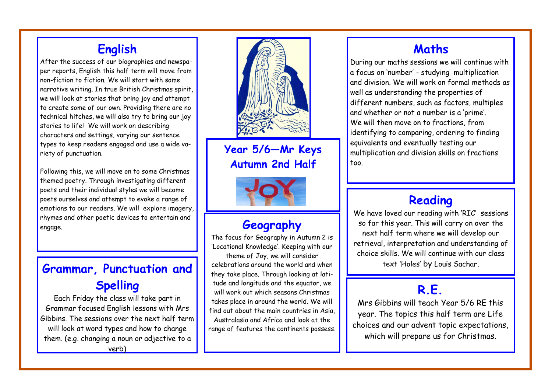## **English**

After the success of our biographies and newspaper reports, English this half term will move from non-fiction to fiction. We will start with some narrative writing. In true British Christmas spirit, we will look at stories that bring joy and attempt to create some of our own. Providing there are no technical hitches, we will also try to bring our joy stories to life! We will work on describing characters and settings, varying our sentence types to keep readers engaged and use a wide variety of punctuation.

Following this, we will move on to some Christmas themed poetry. Through investigating different poets and their individual styles we will become poets ourselves and attempt to evoke a range of emotions to our readers. We will explore imagery, rhymes and other poetic devices to entertain and engage.

# **Grammar, Punctuation and I** celebrations around the world and when **text** 'Holes' by Louis Sachar. **Spelling**

Each Friday the class will take part in Grammar focused English lessons with Mrs Gibbins. The sessions over the next half term will look at word types and how to change them. (e.g. changing a noun or adjective to a verb)



**Year 5/6—Mr Keys Autumn 2nd Half**



### **Geography**

The focus for Geography in Autumn 2 is 'Locational Knowledge'. Keeping with our theme of Joy, we will consider

celebrations around the world and when they take place. Through looking at latitude and longitude and the equator, we will work out which seasons Christmas takes place in around the world. We will find out about the main countries in Asia, Australasia and Africa and look at the range of features the continents possess.

## **Maths**

During our maths sessions we will continue with a focus on 'number' - studying multiplication and division. We will work on formal methods as well as understanding the properties of different numbers, such as factors, multiples and whether or not a number is a 'prime'. We will then move on to fractions, from identifying to comparing, ordering to finding equivalents and eventually testing our multiplication and division skills on fractions too.

## **Reading**

We have loved our reading with 'RIC' sessions so far this year. This will carry on over the next half term where we will develop our retrieval, interpretation and understanding of choice skills. We will continue with our class

## **R.E.**

Mrs Gibbins will teach Year 5/6 RE this year. The topics this half term are Life choices and our advent topic expectations, which will prepare us for Christmas.